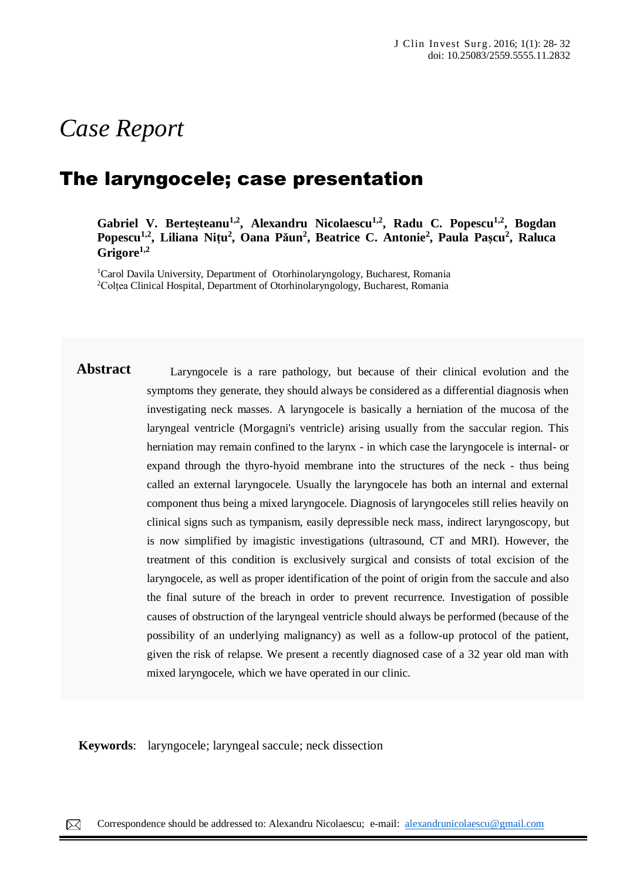# *Case Report*

## The laryngocele; case presentation

Gabriel V. Berteșteanu<sup>1,2</sup>, Alexandru Nicolaescu<sup>1,2</sup>, Radu C. Popescu<sup>1,2</sup>, Bogdan **Popescu1,2 , Liliana Nițu 2 , Oana Păun<sup>2</sup> , Beatrice C. Antonie<sup>2</sup> , Paula Pașcu<sup>2</sup> , Raluca Grigore1,2**

<sup>1</sup>Carol Davila University, Department of Otorhinolaryngology, Bucharest, Romania <sup>2</sup>Colțea Clinical Hospital, Department of Otorhinolaryngology, Bucharest, Romania

Abstract Laryngocele is a rare pathology, but because of their clinical evolution and the symptoms they generate, they should always be considered as a differential diagnosis when investigating neck masses. A laryngocele is basically a herniation of the mucosa of the laryngeal ventricle (Morgagni's ventricle) arising usually from the saccular region. This herniation may remain confined to the larynx - in which case the laryngocele is internal- or expand through the thyro-hyoid membrane into the structures of the neck - thus being called an external laryngocele. Usually the laryngocele has both an internal and external component thus being a mixed laryngocele. Diagnosis of laryngoceles still relies heavily on clinical signs such as tympanism, easily depressible neck mass, indirect laryngoscopy, but is now simplified by imagistic investigations (ultrasound, CT and MRI). However, the treatment of this condition is exclusively surgical and consists of total excision of the laryngocele, as well as proper identification of the point of origin from the saccule and also the final suture of the breach in order to prevent recurrence. Investigation of possible causes of obstruction of the laryngeal ventricle should always be performed (because of the possibility of an underlying malignancy) as well as a follow-up protocol of the patient, given the risk of relapse. We present a recently diagnosed case of a 32 year old man with mixed laryngocele, which we have operated in our clinic.

**Keywords**: laryngocele; laryngeal saccule; neck dissection Acne conglobata is a rare, severe form of acne vulgaris characterized by the presence of comedones,  $\rho$ 

dermatology department for erythematous, edematous plaques covered by pustules and crusts, located on the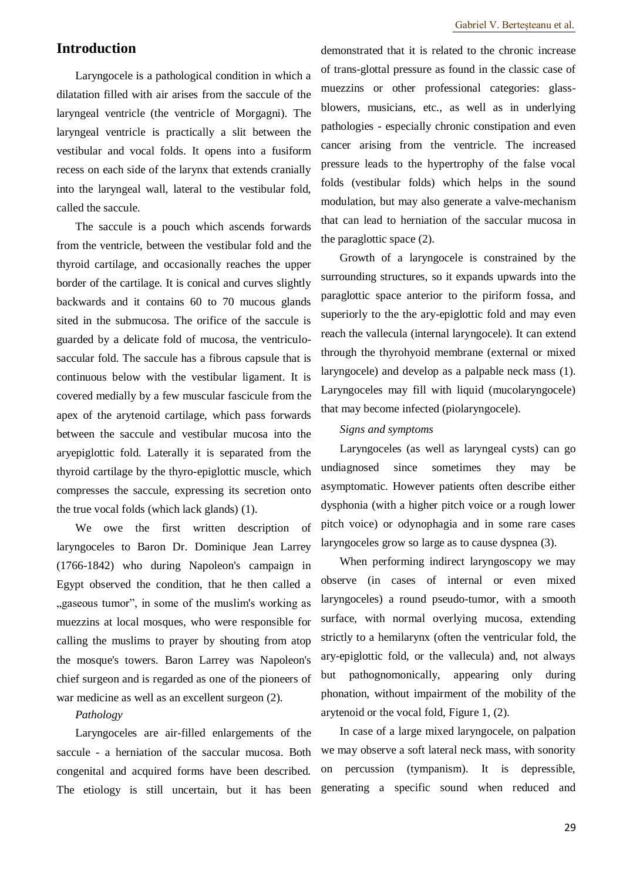## **Introduction**

Laryngocele is a pathological condition in which a dilatation filled with air arises from the saccule of the laryngeal ventricle (the ventricle of Morgagni). The laryngeal ventricle is practically a slit between the vestibular and vocal folds. It opens into a fusiform recess on each side of the larynx that extends cranially into the laryngeal wall, lateral to the vestibular fold, called the saccule.

The saccule is a pouch which ascends forwards from the ventricle, between the vestibular fold and the thyroid cartilage, and occasionally reaches the upper border of the cartilage. It is conical and curves slightly backwards and it contains 60 to 70 mucous glands sited in the submucosa. The orifice of the saccule is guarded by a delicate fold of mucosa, the ventriculosaccular fold. The saccule has a fibrous capsule that is continuous below with the vestibular ligament. It is covered medially by a few muscular fascicule from the apex of the arytenoid cartilage, which pass forwards between the saccule and vestibular mucosa into the aryepiglottic fold. Laterally it is separated from the thyroid cartilage by the thyro-epiglottic muscle, which compresses the saccule, expressing its secretion onto the true vocal folds (which lack glands) (1).

We owe the first written description of laryngoceles to Baron Dr. Dominique Jean Larrey (1766-1842) who during Napoleon's campaign in Egypt observed the condition, that he then called a "gaseous tumor", in some of the muslim's working as muezzins at local mosques, who were responsible for calling the muslims to prayer by shouting from atop the mosque's towers. Baron Larrey was Napoleon's chief surgeon and is regarded as one of the pioneers of war medicine as well as an excellent surgeon (2).

#### *Pathology*

Laryngoceles are air-filled enlargements of the saccule - a herniation of the saccular mucosa. Both congenital and acquired forms have been described. The etiology is still uncertain, but it has been demonstrated that it is related to the chronic increase of trans-glottal pressure as found in the classic case of muezzins or other professional categories: glassblowers, musicians, etc., as well as in underlying pathologies - especially chronic constipation and even cancer arising from the ventricle. The increased pressure leads to the hypertrophy of the false vocal folds (vestibular folds) which helps in the sound modulation, but may also generate a valve-mechanism that can lead to herniation of the saccular mucosa in the paraglottic space (2).

Growth of a laryngocele is constrained by the surrounding structures, so it expands upwards into the paraglottic space anterior to the piriform fossa, and superiorly to the the ary-epiglottic fold and may even reach the vallecula (internal laryngocele). It can extend through the thyrohyoid membrane (external or mixed laryngocele) and develop as a palpable neck mass (1). Laryngoceles may fill with liquid (mucolaryngocele) that may become infected (piolaryngocele).

#### *Signs and symptoms*

Laryngoceles (as well as laryngeal cysts) can go undiagnosed since sometimes they may be asymptomatic. However patients often describe either dysphonia (with a higher pitch voice or a rough lower pitch voice) or odynophagia and in some rare cases laryngoceles grow so large as to cause dyspnea (3).

When performing indirect laryngoscopy we may observe (in cases of internal or even mixed laryngoceles) a round pseudo-tumor, with a smooth surface, with normal overlying mucosa, extending strictly to a hemilarynx (often the ventricular fold, the ary-epiglottic fold, or the vallecula) and, not always but pathognomonically, appearing only during phonation, without impairment of the mobility of the arytenoid or the vocal fold, Figure 1, (2).

In case of a large mixed laryngocele, on palpation we may observe a soft lateral neck mass, with sonority on percussion (tympanism). It is depressible, generating a specific sound when reduced and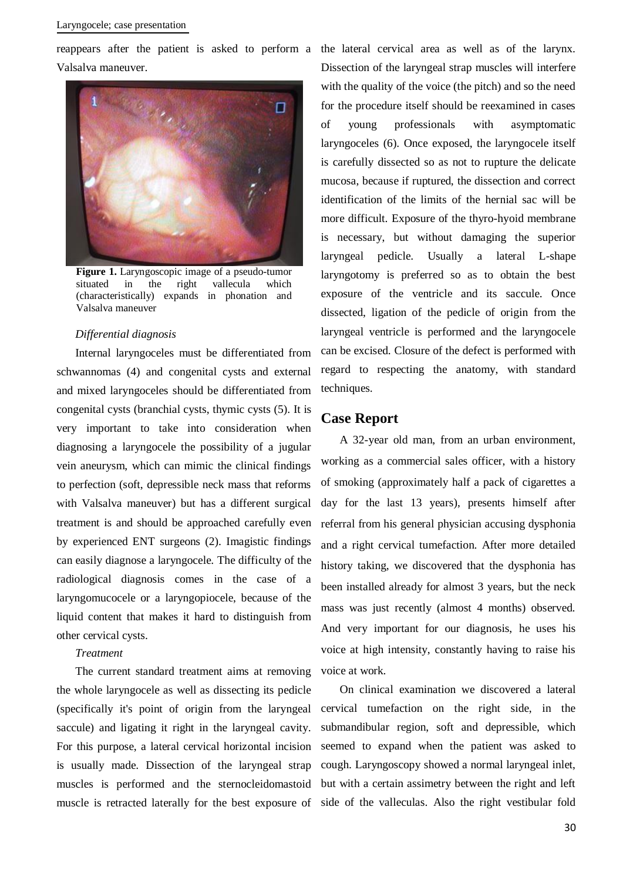#### Laryngocele; case presentation

Valsalva maneuver.



**Figure 1.** Laryngoscopic image of a pseudo-tumor situated in the right vallecula which (characteristically) expands in phonation and Valsalva maneuver

#### *Differential diagnosis*

Internal laryngoceles must be differentiated from schwannomas (4) and congenital cysts and external and mixed laryngoceles should be differentiated from congenital cysts (branchial cysts, thymic cysts (5). It is very important to take into consideration when diagnosing a laryngocele the possibility of a jugular vein aneurysm, which can mimic the clinical findings to perfection (soft, depressible neck mass that reforms with Valsalva maneuver) but has a different surgical treatment is and should be approached carefully even by experienced ENT surgeons (2). Imagistic findings can easily diagnose a laryngocele. The difficulty of the radiological diagnosis comes in the case of a laryngomucocele or a laryngopiocele, because of the liquid content that makes it hard to distinguish from other cervical cysts.

#### *Treatment*

The current standard treatment aims at removing the whole laryngocele as well as dissecting its pedicle (specifically it's point of origin from the laryngeal saccule) and ligating it right in the laryngeal cavity. For this purpose, a lateral cervical horizontal incision is usually made. Dissection of the laryngeal strap muscles is performed and the sternocleidomastoid muscle is retracted laterally for the best exposure of side of the valleculas. Also the right vestibular fold

reappears after the patient is asked to perform a the lateral cervical area as well as of the larynx. Dissection of the laryngeal strap muscles will interfere with the quality of the voice (the pitch) and so the need for the procedure itself should be reexamined in cases of young professionals with asymptomatic laryngoceles (6). Once exposed, the laryngocele itself is carefully dissected so as not to rupture the delicate mucosa, because if ruptured, the dissection and correct identification of the limits of the hernial sac will be more difficult. Exposure of the thyro-hyoid membrane is necessary, but without damaging the superior laryngeal pedicle. Usually a lateral L-shape laryngotomy is preferred so as to obtain the best exposure of the ventricle and its saccule. Once dissected, ligation of the pedicle of origin from the laryngeal ventricle is performed and the laryngocele can be excised. Closure of the defect is performed with regard to respecting the anatomy, with standard techniques.

### **Case Report**

A 32-year old man, from an urban environment, working as a commercial sales officer, with a history of smoking (approximately half a pack of cigarettes a day for the last 13 years), presents himself after referral from his general physician accusing dysphonia and a right cervical tumefaction. After more detailed history taking, we discovered that the dysphonia has been installed already for almost 3 years, but the neck mass was just recently (almost 4 months) observed. And very important for our diagnosis, he uses his voice at high intensity, constantly having to raise his voice at work.

On clinical examination we discovered a lateral cervical tumefaction on the right side, in the submandibular region, soft and depressible, which seemed to expand when the patient was asked to cough. Laryngoscopy showed a normal laryngeal inlet, but with a certain assimetry between the right and left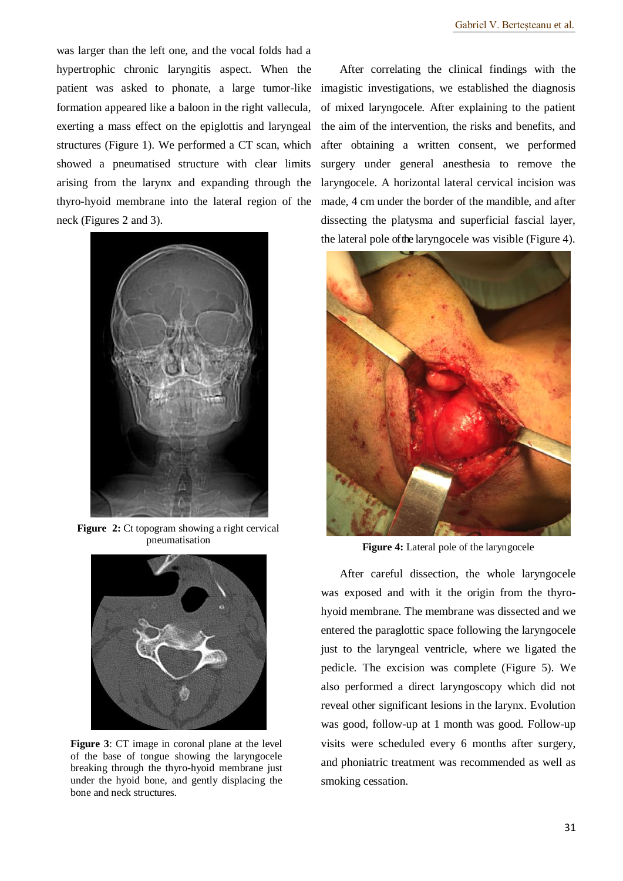was larger than the left one, and the vocal folds had a hypertrophic chronic laryngitis aspect. When the patient was asked to phonate, a large tumor-like formation appeared like a baloon in the right vallecula, exerting a mass effect on the epiglottis and laryngeal structures (Figure 1). We performed a CT scan, which showed a pneumatised structure with clear limits arising from the larynx and expanding through the thyro-hyoid membrane into the lateral region of the neck (Figures 2 and 3).



**Figure 2:** Ct topogram showing a right cervical pneumatisation



**Figure 3**: CT image in coronal plane at the level of the base of tongue showing the laryngocele breaking through the thyro-hyoid membrane just under the hyoid bone, and gently displacing the bone and neck structures.

After correlating the clinical findings with the imagistic investigations, we established the diagnosis of mixed laryngocele. After explaining to the patient the aim of the intervention, the risks and benefits, and after obtaining a written consent, we performed surgery under general anesthesia to remove the laryngocele. A horizontal lateral cervical incision was made, 4 cm under the border of the mandible, and after dissecting the platysma and superficial fascial layer, the lateral pole of the laryngocele was visible (Figure 4).



**Figure 4:** Lateral pole of the laryngocele

After careful dissection, the whole laryngocele was exposed and with it the origin from the thyrohyoid membrane. The membrane was dissected and we entered the paraglottic space following the laryngocele just to the laryngeal ventricle, where we ligated the pedicle. The excision was complete (Figure 5). We also performed a direct laryngoscopy which did not reveal other significant lesions in the larynx. Evolution was good, follow-up at 1 month was good. Follow-up visits were scheduled every 6 months after surgery, and phoniatric treatment was recommended as well as smoking cessation.